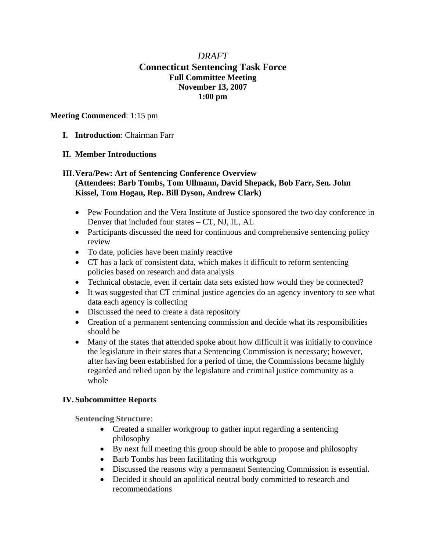# *DRAFT*  **Connecticut Sentencing Task Force Full Committee Meeting November 13, 2007 1:00 pm**

#### **Meeting Commenced**: 1:15 pm

**I. Introduction**: Chairman Farr

### **II. Member Introductions**

## **III.Vera/Pew: Art of Sentencing Conference Overview (Attendees: Barb Tombs, Tom Ullmann, David Shepack, Bob Farr, Sen. John Kissel, Tom Hogan, Rep. Bill Dyson, Andrew Clark)**

- Pew Foundation and the Vera Institute of Justice sponsored the two day conference in Denver that included four states – CT, NJ, IL, AL
- Participants discussed the need for continuous and comprehensive sentencing policy review
- To date, policies have been mainly reactive
- CT has a lack of consistent data, which makes it difficult to reform sentencing policies based on research and data analysis
- Technical obstacle, even if certain data sets existed how would they be connected?
- It was suggested that CT criminal justice agencies do an agency inventory to see what data each agency is collecting
- Discussed the need to create a data repository
- Creation of a permanent sentencing commission and decide what its responsibilities should be
- Many of the states that attended spoke about how difficult it was initially to convince the legislature in their states that a Sentencing Commission is necessary; however, after having been established for a period of time, the Commissions became highly regarded and relied upon by the legislature and criminal justice community as a whole

## **IV. Subcommittee Reports**

**Sentencing Structure**:

- Created a smaller workgroup to gather input regarding a sentencing philosophy
- By next full meeting this group should be able to propose and philosophy
- Barb Tombs has been facilitating this workgroup
- Discussed the reasons why a permanent Sentencing Commission is essential.
- Decided it should an apolitical neutral body committed to research and recommendations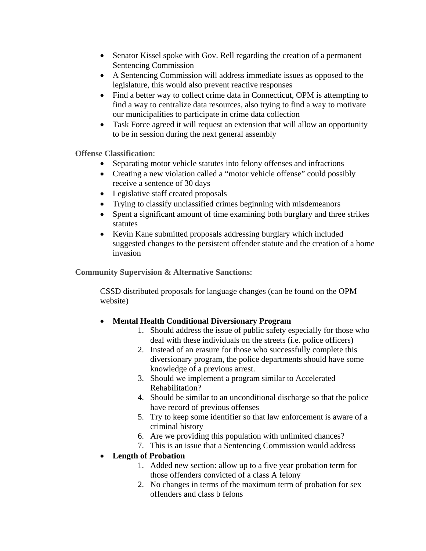- Senator Kissel spoke with Gov. Rell regarding the creation of a permanent Sentencing Commission
- A Sentencing Commission will address immediate issues as opposed to the legislature, this would also prevent reactive responses
- Find a better way to collect crime data in Connecticut, OPM is attempting to find a way to centralize data resources, also trying to find a way to motivate our municipalities to participate in crime data collection
- Task Force agreed it will request an extension that will allow an opportunity to be in session during the next general assembly

**Offense Classification**:

- Separating motor vehicle statutes into felony offenses and infractions
- Creating a new violation called a "motor vehicle offense" could possibly receive a sentence of 30 days
- Legislative staff created proposals
- Trying to classify unclassified crimes beginning with misdemeanors
- Spent a significant amount of time examining both burglary and three strikes statutes
- Kevin Kane submitted proposals addressing burglary which included suggested changes to the persistent offender statute and the creation of a home invasion

**Community Supervision & Alternative Sanctions**:

CSSD distributed proposals for language changes (can be found on the OPM website)

- **Mental Health Conditional Diversionary Program** 
	- 1. Should address the issue of public safety especially for those who deal with these individuals on the streets (i.e. police officers)
	- 2. Instead of an erasure for those who successfully complete this diversionary program, the police departments should have some knowledge of a previous arrest.
	- 3. Should we implement a program similar to Accelerated Rehabilitation?
	- 4. Should be similar to an unconditional discharge so that the police have record of previous offenses
	- 5. Try to keep some identifier so that law enforcement is aware of a criminal history
	- 6. Are we providing this population with unlimited chances?
	- 7. This is an issue that a Sentencing Commission would address

# • **Length of Probation**

- 1. Added new section: allow up to a five year probation term for those offenders convicted of a class A felony
- 2. No changes in terms of the maximum term of probation for sex offenders and class b felons